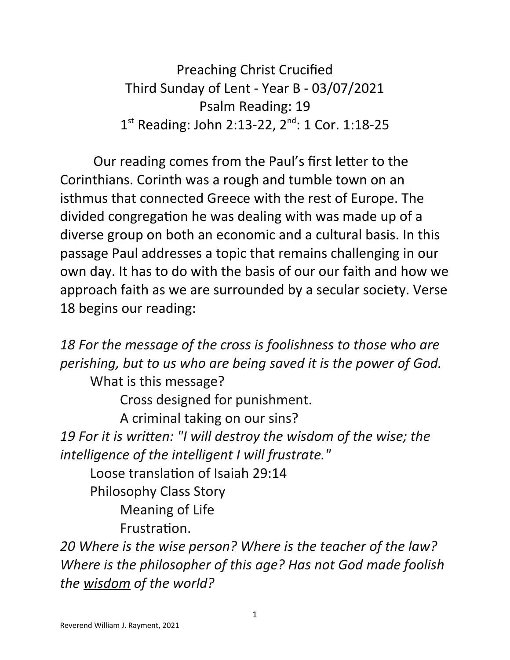Preaching Christ Crucified Third Sunday of Lent - Year B - 03/07/2021 Psalm Reading: 19 1<sup>st</sup> Reading: John 2:13-22, 2<sup>nd</sup>: 1 Cor. 1:18-25

 Our reading comes from the Paul's first letter to the Corinthians. Corinth was a rough and tumble town on an isthmus that connected Greece with the rest of Europe. The divided congregation he was dealing with was made up of a diverse group on both an economic and a cultural basis. In this passage Paul addresses a topic that remains challenging in our own day. It has to do with the basis of our our faith and how we approach faith as we are surrounded by a secular society. Verse 18 begins our reading:

*18 For the message of the cross is foolishness to those who are perishing, but to us who are being saved it is the power of God.* What is this message? Cross designed for punishment. A criminal taking on our sins? *19 For it is written: "I will destroy the wisdom of the wise; the intelligence of the intelligent I will frustrate."* Loose translation of Isaiah 29:14 Philosophy Class Story Meaning of Life Frustration.

*20 Where is the wise person? Where is the teacher of the law? Where is the philosopher of this age? Has not God made foolish the wisdom of the world?*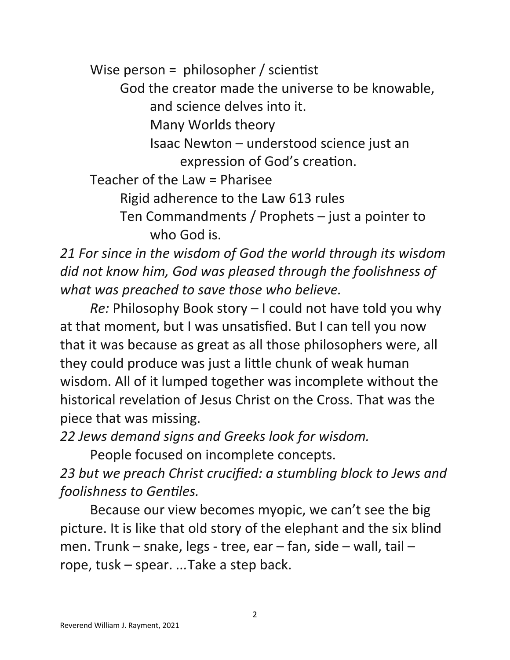Wise person = philosopher / scientist

God the creator made the universe to be knowable,

and science delves into it.

Many Worlds theory

Isaac Newton – understood science just an expression of God's creation.

Teacher of the Law = Pharisee

Rigid adherence to the Law 613 rules

Ten Commandments / Prophets – just a pointer to who God is.

*21 For since in the wisdom of God the world through its wisdom did not know him, God was pleased through the foolishness of what was preached to save those who believe.*

*Re:* Philosophy Book story – I could not have told you why at that moment, but I was unsatisfied. But I can tell you now that it was because as great as all those philosophers were, all they could produce was just a little chunk of weak human wisdom. All of it lumped together was incomplete without the historical revelation of Jesus Christ on the Cross. That was the piece that was missing.

*22 Jews demand signs and Greeks look for wisdom.*

People focused on incomplete concepts.

*23 but we preach Christ crucified: a stumbling block to Jews and foolishness to Gentiles.*

Because our view becomes myopic, we can't see the big picture. It is like that old story of the elephant and the six blind men. Trunk – snake, legs - tree, ear – fan, side – wall, tail – rope, tusk – spear. *...*Take a step back.